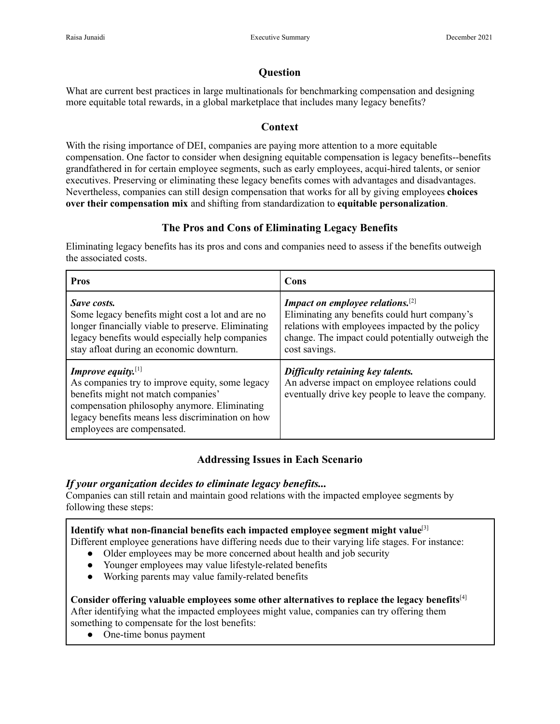# **Question**

What are current best practices in large multinationals for benchmarking compensation and designing more equitable total rewards, in a global marketplace that includes many legacy benefits?

# **Context**

With the rising importance of DEI, companies are paying more attention to a more equitable compensation. One factor to consider when designing equitable compensation is legacy benefits--benefits grandfathered in for certain employee segments, such as early employees, acqui-hired talents, or senior executives. Preserving or eliminating these legacy benefits comes with advantages and disadvantages. Nevertheless, companies can still design compensation that works for all by giving employees **choices over their compensation mix** and shifting from standardization to **equitable personalization**.

# **The Pros and Cons of Eliminating Legacy Benefits**

Eliminating legacy benefits has its pros and cons and companies need to assess if the benefits outweigh the associated costs.

| <b>Pros</b>                                                                                                                                                                                                                                       | Cons                                                                                                                                                                                                                          |
|---------------------------------------------------------------------------------------------------------------------------------------------------------------------------------------------------------------------------------------------------|-------------------------------------------------------------------------------------------------------------------------------------------------------------------------------------------------------------------------------|
| Save costs.<br>Some legacy benefits might cost a lot and are no<br>longer financially viable to preserve. Eliminating<br>legacy benefits would especially help companies<br>stay afloat during an economic downturn.                              | <b>Impact on employee relations.</b> <sup>[2]</sup><br>Eliminating any benefits could hurt company's<br>relations with employees impacted by the policy<br>change. The impact could potentially outweigh the<br>cost savings. |
| Improve equity. $[1]$<br>As companies try to improve equity, some legacy<br>benefits might not match companies'<br>compensation philosophy anymore. Eliminating<br>legacy benefits means less discrimination on how<br>employees are compensated. | Difficulty retaining key talents.<br>An adverse impact on employee relations could<br>eventually drive key people to leave the company.                                                                                       |

# **Addressing Issues in Each Scenario**

# *If your organization decides to eliminate legacy benefits...*

Companies can still retain and maintain good relations with the impacted employee segments by following these steps:

# **Identify what non-financial benefits each impacted employee segment might value**[3]

Different employee generations have differing needs due to their varying life stages. For instance:

- Older employees may be more concerned about health and job security
- Younger employees may value lifestyle-related benefits
- Working parents may value family-related benefits

## **Consider offering valuable employees some other alternatives to replace the legacy benefits**[4]

After identifying what the impacted employees might value, companies can try offering them something to compensate for the lost benefits:

• One-time bonus payment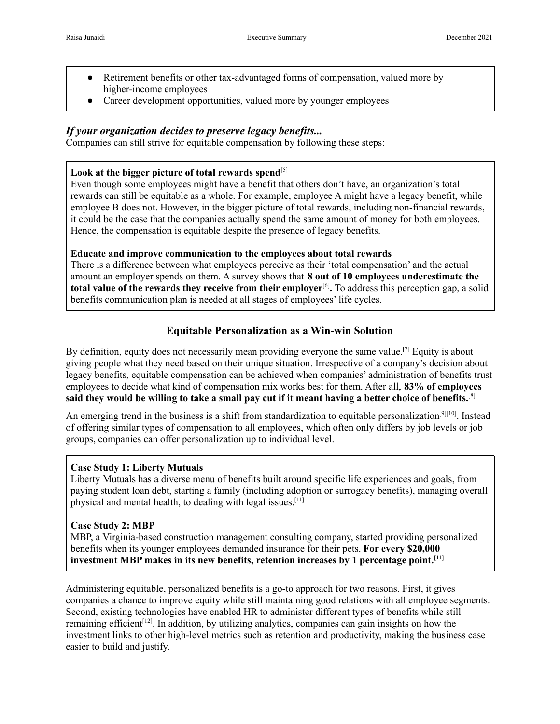- Retirement benefits or other tax-advantaged forms of compensation, valued more by higher-income employees
- Career development opportunities, valued more by younger employees

## *If your organization decides to preserve legacy benefits...*

Companies can still strive for equitable compensation by following these steps:

## Look at the bigger picture of total rewards spend<sup>[5]</sup>

Even though some employees might have a benefit that others don't have, an organization's total rewards can still be equitable as a whole. For example, employee A might have a legacy benefit, while employee B does not. However, in the bigger picture of total rewards, including non-financial rewards, it could be the case that the companies actually spend the same amount of money for both employees. Hence, the compensation is equitable despite the presence of legacy benefits.

## **Educate and improve communication to the employees about total rewards**

There is a difference between what employees perceive as their 'total compensation' and the actual amount an employer spends on them. A survey shows that **8 out of 10 employees underestimate the total value of the rewards they receive from their employer**[6] **.** To address this perception gap, a solid benefits communication plan is needed at all stages of employees' life cycles.

# **Equitable Personalization as a Win-win Solution**

By definition, equity does not necessarily mean providing everyone the same value.<sup>[7]</sup> Equity is about giving people what they need based on their unique situation. Irrespective of a company's decision about legacy benefits, equitable compensation can be achieved when companies' administration of benefits trust employees to decide what kind of compensation mix works best for them. After all, **83% of employees said they would be willing to take a small pay cut if it meant having a better choice of benefits.**[8]

An emerging trend in the business is a shift from standardization to equitable personalization<sup>[9][10]</sup>. Instead of offering similar types of compensation to all employees, which often only differs by job levels or job groups, companies can offer personalization up to individual level.

## **Case Study 1: Liberty Mutuals**

Liberty Mutuals has a diverse menu of benefits built around specific life experiences and goals, from paying student loan debt, starting a family (including adoption or surrogacy benefits), managing overall physical and mental health, to dealing with legal issues.[11]

## **Case Study 2: MBP**

MBP, a Virginia-based construction management consulting company, started providing personalized benefits when its younger employees demanded insurance for their pets. **For every \$20,000 investment MBP makes in its new benefits, retention increases by 1 percentage point.**[11]

Administering equitable, personalized benefits is a go-to approach for two reasons. First, it gives companies a chance to improve equity while still maintaining good relations with all employee segments. Second, existing technologies have enabled HR to administer different types of benefits while still remaining efficient<sup>[12]</sup>. In addition, by utilizing analytics, companies can gain insights on how the investment links to other high-level metrics such as retention and productivity, making the business case easier to build and justify.